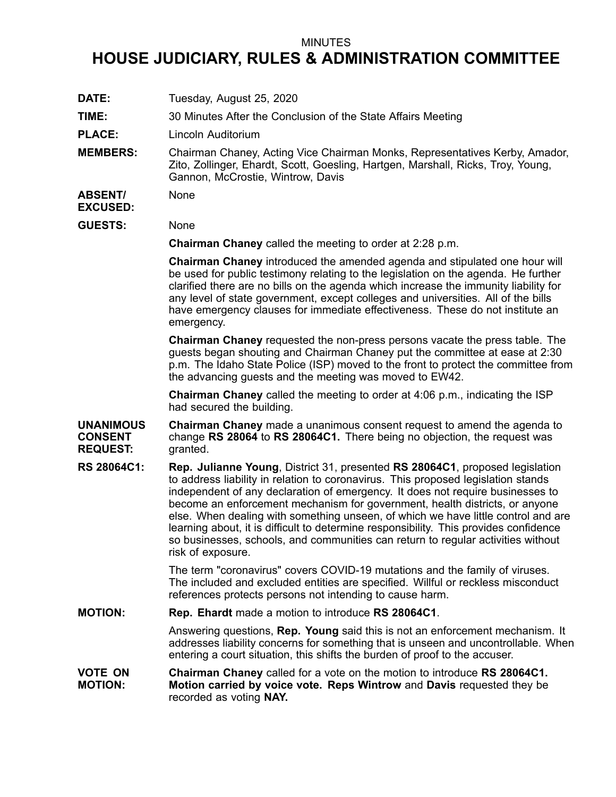## MINUTES

## **HOUSE JUDICIARY, RULES & ADMINISTRATION COMMITTEE**

**DATE:** Tuesday, August 25, 2020

**TIME:** 30 Minutes After the Conclusion of the State Affairs Meeting

**PLACE:** Lincoln Auditorium

**MEMBERS:** Chairman Chaney, Acting Vice Chairman Monks, Representatives Kerby, Amador, Zito, Zollinger, Ehardt, Scott, Goesling, Hartgen, Marshall, Ricks, Troy, Young, Gannon, McCrostie, Wintrow, Davis

## **ABSENT/ EXCUSED:** None

**GUESTS:** None

**Chairman Chaney** called the meeting to order at 2:28 p.m.

**Chairman Chaney** introduced the amended agenda and stipulated one hour will be used for public testimony relating to the legislation on the agenda. He further clarified there are no bills on the agenda which increase the immunity liability for any level of state government, except colleges and universities. All of the bills have emergency clauses for immediate effectiveness. These do not institute an emergency.

**Chairman Chaney** requested the non-press persons vacate the press table. The guests began shouting and Chairman Chaney put the committee at ease at 2:30 p.m. The Idaho State Police (ISP) moved to the front to protect the committee from the advancing guests and the meeting was moved to EW42.

**Chairman Chaney** called the meeting to order at 4:06 p.m., indicating the ISP had secured the building.

**UNANIMOUS CONSENT REQUEST: Chairman Chaney** made <sup>a</sup> unanimous consent request to amend the agenda to change **RS 28064** to **RS 28064C1.** There being no objection, the request was granted.

**RS 28064C1: Rep. Julianne Young**, District 31, presented **RS 28064C1**, proposed legislation to address liability in relation to coronavirus. This proposed legislation stands independent of any declaration of emergency. It does not require businesses to become an enforcement mechanism for government, health districts, or anyone else. When dealing with something unseen, of which we have little control and are learning about, it is difficult to determine responsibility. This provides confidence so businesses, schools, and communities can return to regular activities without risk of exposure.

> The term "coronavirus" covers COVID-19 mutations and the family of viruses. The included and excluded entities are specified. Willful or reckless misconduct references protects persons not intending to cause harm.

**MOTION: Rep. Ehardt** made <sup>a</sup> motion to introduce **RS 28064C1**.

Answering questions, **Rep. Young** said this is not an enforcement mechanism. It addresses liability concerns for something that is unseen and uncontrollable. When entering <sup>a</sup> court situation, this shifts the burden of proof to the accuser.

**VOTE ON MOTION: Chairman Chaney** called for <sup>a</sup> vote on the motion to introduce **RS 28064C1. Motion carried by voice vote. Reps Wintrow** and **Davis** requested they be recorded as voting **NAY.**